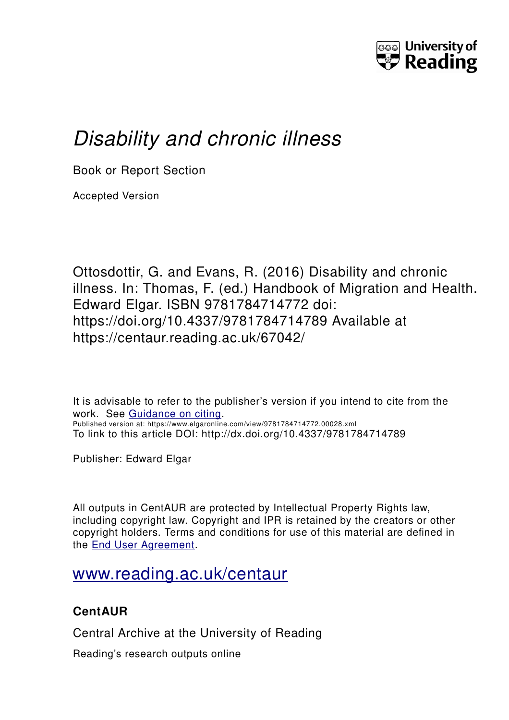

# *Disability and chronic illness*

Book or Report Section

Accepted Version

Ottosdottir, G. and Evans, R. (2016) Disability and chronic illness. In: Thomas, F. (ed.) Handbook of Migration and Health. Edward Elgar. ISBN 9781784714772 doi: https://doi.org/10.4337/9781784714789 Available at https://centaur.reading.ac.uk/67042/

It is advisable to refer to the publisher's version if you intend to cite from the work. See [Guidance on citing.](http://centaur.reading.ac.uk/71187/10/CentAUR%20citing%20guide.pdf) Published version at: https://www.elgaronline.com/view/9781784714772.00028.xml To link to this article DOI: http://dx.doi.org/10.4337/9781784714789

Publisher: Edward Elgar

All outputs in CentAUR are protected by Intellectual Property Rights law, including copyright law. Copyright and IPR is retained by the creators or other copyright holders. Terms and conditions for use of this material are defined in the [End User Agreement.](http://centaur.reading.ac.uk/licence)

# [www.reading.ac.uk/centaur](http://www.reading.ac.uk/centaur)

# **CentAUR**

Central Archive at the University of Reading

Reading's research outputs online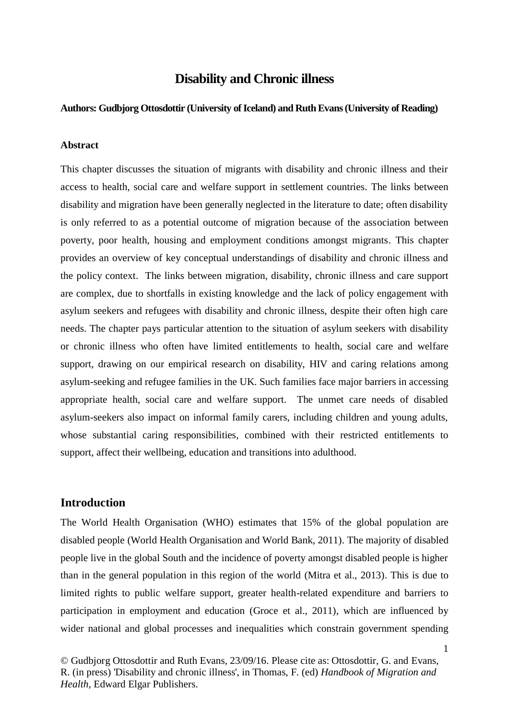## **Disability and Chronic illness**

#### **Authors: Gudbjorg Ottosdottir (University of Iceland) and Ruth Evans (University of Reading)**

#### **Abstract**

This chapter discusses the situation of migrants with disability and chronic illness and their access to health, social care and welfare support in settlement countries. The links between disability and migration have been generally neglected in the literature to date; often disability is only referred to as a potential outcome of migration because of the association between poverty, poor health, housing and employment conditions amongst migrants. This chapter provides an overview of key conceptual understandings of disability and chronic illness and the policy context. The links between migration, disability, chronic illness and care support are complex, due to shortfalls in existing knowledge and the lack of policy engagement with asylum seekers and refugees with disability and chronic illness, despite their often high care needs. The chapter pays particular attention to the situation of asylum seekers with disability or chronic illness who often have limited entitlements to health, social care and welfare support, drawing on our empirical research on disability, HIV and caring relations among asylum-seeking and refugee families in the UK. Such families face major barriers in accessing appropriate health, social care and welfare support. The unmet care needs of disabled asylum-seekers also impact on informal family carers, including children and young adults, whose substantial caring responsibilities, combined with their restricted entitlements to support, affect their wellbeing, education and transitions into adulthood.

#### **Introduction**

The World Health Organisation (WHO) estimates that 15% of the global population are disabled people (World Health Organisation and World Bank, 2011). The majority of disabled people live in the global South and the incidence of poverty amongst disabled people is higher than in the general population in this region of the world (Mitra et al., 2013). This is due to limited rights to public welfare support, greater health-related expenditure and barriers to participation in employment and education (Groce et al., 2011), which are influenced by wider national and global processes and inequalities which constrain government spending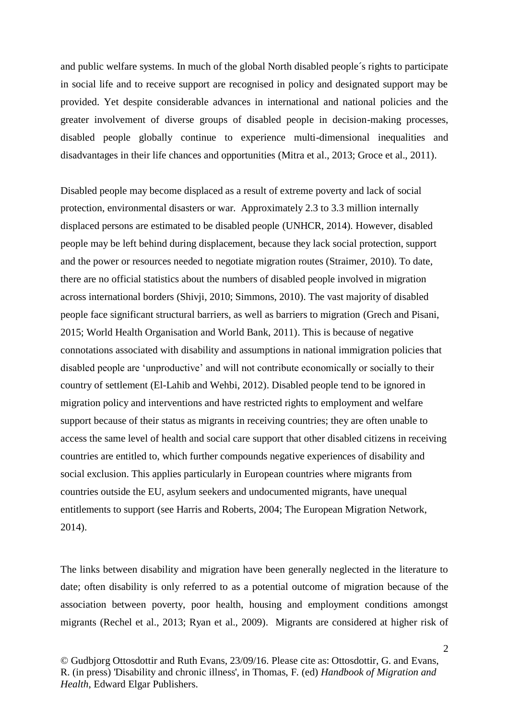and public welfare systems. In much of the global North disabled people´s rights to participate in social life and to receive support are recognised in policy and designated support may be provided. Yet despite considerable advances in international and national policies and the greater involvement of diverse groups of disabled people in decision-making processes, disabled people globally continue to experience multi-dimensional inequalities and disadvantages in their life chances and opportunities (Mitra et al., 2013; Groce et al., 2011).

Disabled people may become displaced as a result of extreme poverty and lack of social protection, environmental disasters or war. Approximately 2.3 to 3.3 million internally displaced persons are estimated to be disabled people (UNHCR, 2014). However, disabled people may be left behind during displacement, because they lack social protection, support and the power or resources needed to negotiate migration routes (Straimer, 2010). To date, there are no official statistics about the numbers of disabled people involved in migration across international borders (Shivji, 2010; Simmons, 2010). The vast majority of disabled people face significant structural barriers, as well as barriers to migration (Grech and Pisani, 2015; World Health Organisation and World Bank, 2011). This is because of negative connotations associated with disability and assumptions in national immigration policies that disabled people are 'unproductive' and will not contribute economically or socially to their country of settlement (El-Lahib and Wehbi, 2012). Disabled people tend to be ignored in migration policy and interventions and have restricted rights to employment and welfare support because of their status as migrants in receiving countries; they are often unable to access the same level of health and social care support that other disabled citizens in receiving countries are entitled to, which further compounds negative experiences of disability and social exclusion. This applies particularly in European countries where migrants from countries outside the EU, asylum seekers and undocumented migrants, have unequal entitlements to support (see Harris and Roberts, 2004; The European Migration Network, 2014).

The links between disability and migration have been generally neglected in the literature to date; often disability is only referred to as a potential outcome of migration because of the association between poverty, poor health, housing and employment conditions amongst migrants (Rechel et al., 2013; Ryan et al., 2009). Migrants are considered at higher risk of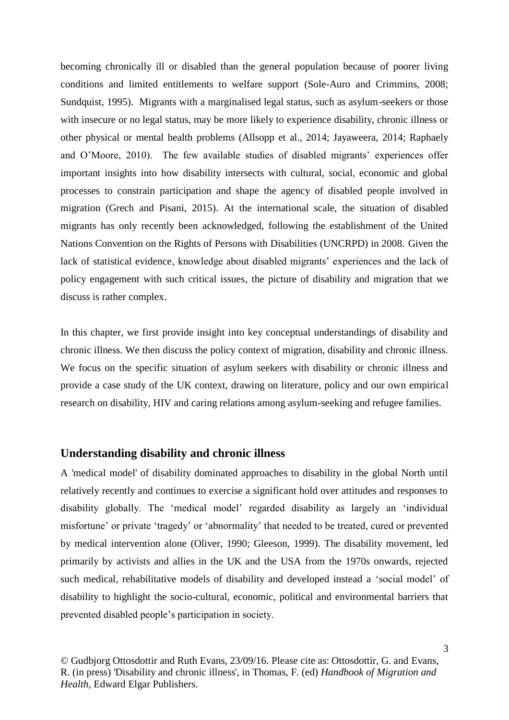becoming chronically ill or disabled than the general population because of poorer living conditions and limited entitlements to welfare support (Sole-Auro and Crimmins, 2008; Sundquist, 1995). Migrants with a marginalised legal status, such as asylum-seekers or those with insecure or no legal status, may be more likely to experience disability, chronic illness or other physical or mental health problems (Allsopp et al., 2014; Jayaweera, 2014; Raphaely and O'Moore, 2010). The few available studies of disabled migrants' experiences offer important insights into how disability intersects with cultural, social, economic and global processes to constrain participation and shape the agency of disabled people involved in migration (Grech and Pisani, 2015). At the international scale, the situation of disabled migrants has only recently been acknowledged, following the establishment of the United Nations Convention on the Rights of Persons with Disabilities (UNCRPD) in 2008. Given the lack of statistical evidence, knowledge about disabled migrants' experiences and the lack of policy engagement with such critical issues, the picture of disability and migration that we discuss is rather complex.

In this chapter, we first provide insight into key conceptual understandings of disability and chronic illness. We then discuss the policy context of migration, disability and chronic illness. We focus on the specific situation of asylum seekers with disability or chronic illness and provide a case study of the UK context, drawing on literature, policy and our own empirical research on disability, HIV and caring relations among asylum-seeking and refugee families.

#### **Understanding disability and chronic illness**

A 'medical model' of disability dominated approaches to disability in the global North until relatively recently and continues to exercise a significant hold over attitudes and responses to disability globally. The 'medical model' regarded disability as largely an 'individual misfortune' or private 'tragedy' or 'abnormality' that needed to be treated, cured or prevented by medical intervention alone (Oliver, 1990; Gleeson, 1999). The disability movement, led primarily by activists and allies in the UK and the USA from the 1970s onwards, rejected such medical, rehabilitative models of disability and developed instead a 'social model' of disability to highlight the socio-cultural, economic, political and environmental barriers that prevented disabled people's participation in society.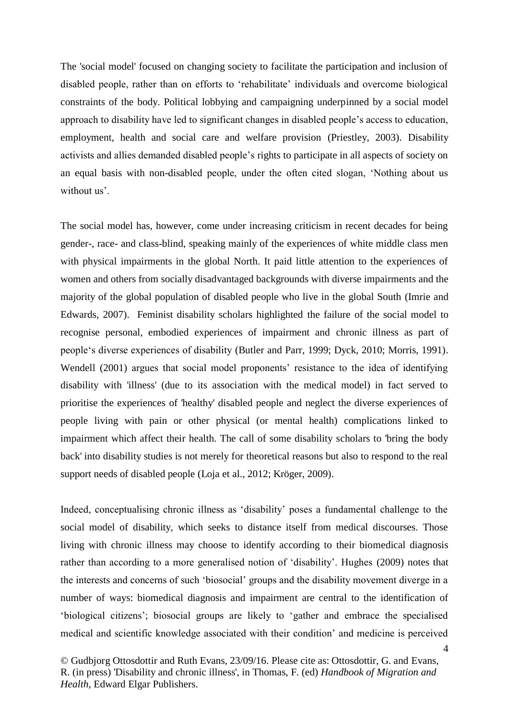The 'social model' focused on changing society to facilitate the participation and inclusion of disabled people, rather than on efforts to 'rehabilitate' individuals and overcome biological constraints of the body. Political lobbying and campaigning underpinned by a social model approach to disability have led to significant changes in disabled people's access to education, employment, health and social care and welfare provision (Priestley, 2003). Disability activists and allies demanded disabled people's rights to participate in all aspects of society on an equal basis with non-disabled people, under the often cited slogan, 'Nothing about us without us'.

The social model has, however, come under increasing criticism in recent decades for being gender-, race- and class-blind, speaking mainly of the experiences of white middle class men with physical impairments in the global North. It paid little attention to the experiences of women and others from socially disadvantaged backgrounds with diverse impairments and the majority of the global population of disabled people who live in the global South (Imrie and Edwards, 2007). Feminist disability scholars highlighted the failure of the social model to recognise personal, embodied experiences of impairment and chronic illness as part of people's diverse experiences of disability (Butler and Parr, 1999; Dyck, 2010; Morris, 1991). Wendell (2001) argues that social model proponents' resistance to the idea of identifying disability with 'illness' (due to its association with the medical model) in fact served to prioritise the experiences of 'healthy' disabled people and neglect the diverse experiences of people living with pain or other physical (or mental health) complications linked to impairment which affect their health. The call of some disability scholars to 'bring the body back' into disability studies is not merely for theoretical reasons but also to respond to the real support needs of disabled people (Loja et al., 2012; Kröger, 2009).

Indeed, conceptualising chronic illness as 'disability' poses a fundamental challenge to the social model of disability, which seeks to distance itself from medical discourses. Those living with chronic illness may choose to identify according to their biomedical diagnosis rather than according to a more generalised notion of 'disability'. Hughes (2009) notes that the interests and concerns of such 'biosocial' groups and the disability movement diverge in a number of ways: biomedical diagnosis and impairment are central to the identification of 'biological citizens'; biosocial groups are likely to 'gather and embrace the specialised medical and scientific knowledge associated with their condition' and medicine is perceived

<sup>©</sup> Gudbjorg Ottosdottir and Ruth Evans, 23/09/16. Please cite as: Ottosdottir, G. and Evans, R. (in press) 'Disability and chronic illness', in Thomas, F. (ed) *Handbook of Migration and Health*, Edward Elgar Publishers.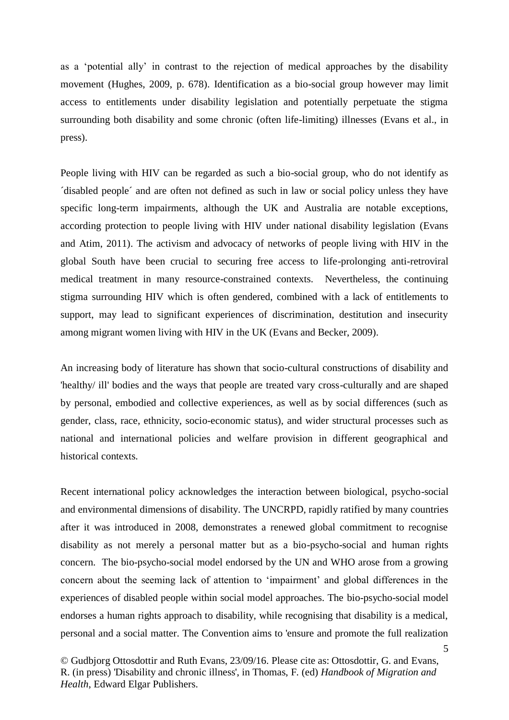as a 'potential ally' in contrast to the rejection of medical approaches by the disability movement (Hughes, 2009, p. 678). Identification as a bio-social group however may limit access to entitlements under disability legislation and potentially perpetuate the stigma surrounding both disability and some chronic (often life-limiting) illnesses (Evans et al., in press).

People living with HIV can be regarded as such a bio-social group, who do not identify as ´disabled people´ and are often not defined as such in law or social policy unless they have specific long-term impairments, although the UK and Australia are notable exceptions, according protection to people living with HIV under national disability legislation (Evans and Atim, 2011). The activism and advocacy of networks of people living with HIV in the global South have been crucial to securing free access to life-prolonging anti-retroviral medical treatment in many resource-constrained contexts. Nevertheless, the continuing stigma surrounding HIV which is often gendered, combined with a lack of entitlements to support, may lead to significant experiences of discrimination, destitution and insecurity among migrant women living with HIV in the UK (Evans and Becker, 2009).

An increasing body of literature has shown that socio-cultural constructions of disability and 'healthy/ ill' bodies and the ways that people are treated vary cross-culturally and are shaped by personal, embodied and collective experiences, as well as by social differences (such as gender, class, race, ethnicity, socio-economic status), and wider structural processes such as national and international policies and welfare provision in different geographical and historical contexts.

Recent international policy acknowledges the interaction between biological, psycho-social and environmental dimensions of disability. The UNCRPD, rapidly ratified by many countries after it was introduced in 2008, demonstrates a renewed global commitment to recognise disability as not merely a personal matter but as a bio-psycho-social and human rights concern. The bio-psycho-social model endorsed by the UN and WHO arose from a growing concern about the seeming lack of attention to 'impairment' and global differences in the experiences of disabled people within social model approaches. The bio-psycho-social model endorses a human rights approach to disability, while recognising that disability is a medical, personal and a social matter. The Convention aims to 'ensure and promote the full realization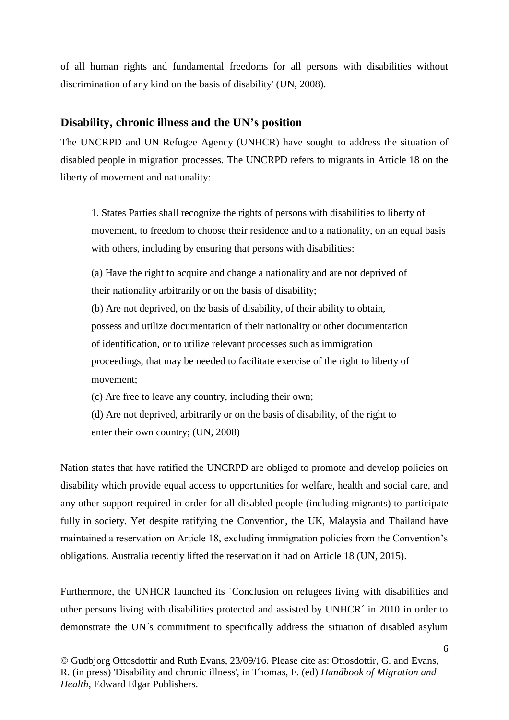of all human rights and fundamental freedoms for all persons with disabilities without discrimination of any kind on the basis of disability' (UN, 2008).

#### **Disability, chronic illness and the UN's position**

The UNCRPD and UN Refugee Agency (UNHCR) have sought to address the situation of disabled people in migration processes. The UNCRPD refers to migrants in Article 18 on the liberty of movement and nationality:

1. States Parties shall recognize the rights of persons with disabilities to liberty of movement, to freedom to choose their residence and to a nationality, on an equal basis with others, including by ensuring that persons with disabilities:

(a) Have the right to acquire and change a nationality and are not deprived of their nationality arbitrarily or on the basis of disability;

(b) Are not deprived, on the basis of disability, of their ability to obtain, possess and utilize documentation of their nationality or other documentation of identification, or to utilize relevant processes such as immigration proceedings, that may be needed to facilitate exercise of the right to liberty of movement;

(c) Are free to leave any country, including their own;

(d) Are not deprived, arbitrarily or on the basis of disability, of the right to enter their own country; (UN, 2008)

Nation states that have ratified the UNCRPD are obliged to promote and develop policies on disability which provide equal access to opportunities for welfare, health and social care, and any other support required in order for all disabled people (including migrants) to participate fully in society. Yet despite ratifying the Convention, the UK, Malaysia and Thailand have maintained a reservation on Article 18, excluding immigration policies from the Convention's obligations. Australia recently lifted the reservation it had on Article 18 (UN, 2015).

Furthermore, the UNHCR launched its ´Conclusion on refugees living with disabilities and other persons living with disabilities protected and assisted by UNHCR´ in 2010 in order to demonstrate the UN´s commitment to specifically address the situation of disabled asylum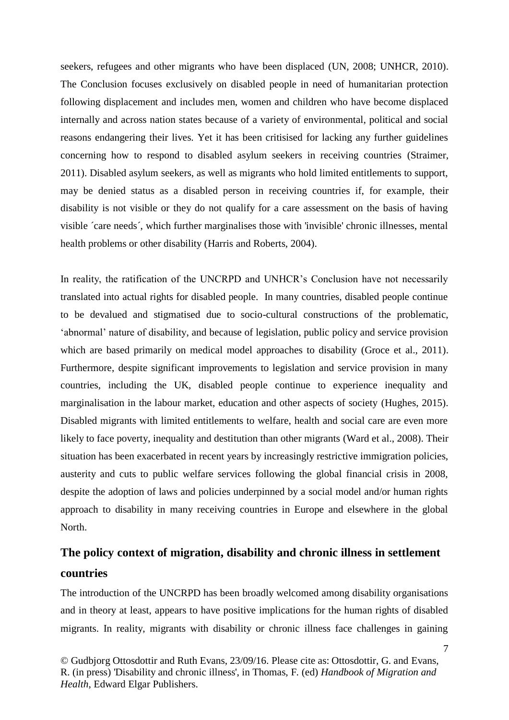seekers, refugees and other migrants who have been displaced (UN, 2008; UNHCR, 2010). The Conclusion focuses exclusively on disabled people in need of humanitarian protection following displacement and includes men, women and children who have become displaced internally and across nation states because of a variety of environmental, political and social reasons endangering their lives. Yet it has been critisised for lacking any further guidelines concerning how to respond to disabled asylum seekers in receiving countries (Straimer, 2011). Disabled asylum seekers, as well as migrants who hold limited entitlements to support, may be denied status as a disabled person in receiving countries if, for example, their disability is not visible or they do not qualify for a care assessment on the basis of having visible ´care needs´, which further marginalises those with 'invisible' chronic illnesses, mental health problems or other disability (Harris and Roberts, 2004).

In reality, the ratification of the UNCRPD and UNHCR's Conclusion have not necessarily translated into actual rights for disabled people. In many countries, disabled people continue to be devalued and stigmatised due to socio-cultural constructions of the problematic, 'abnormal' nature of disability, and because of legislation, public policy and service provision which are based primarily on medical model approaches to disability (Groce et al., 2011). Furthermore, despite significant improvements to legislation and service provision in many countries, including the UK, disabled people continue to experience inequality and marginalisation in the labour market, education and other aspects of society (Hughes, 2015). Disabled migrants with limited entitlements to welfare, health and social care are even more likely to face poverty, inequality and destitution than other migrants (Ward et al., 2008). Their situation has been exacerbated in recent years by increasingly restrictive immigration policies, austerity and cuts to public welfare services following the global financial crisis in 2008, despite the adoption of laws and policies underpinned by a social model and/or human rights approach to disability in many receiving countries in Europe and elsewhere in the global North.

# **The policy context of migration, disability and chronic illness in settlement countries**

The introduction of the UNCRPD has been broadly welcomed among disability organisations and in theory at least, appears to have positive implications for the human rights of disabled migrants. In reality, migrants with disability or chronic illness face challenges in gaining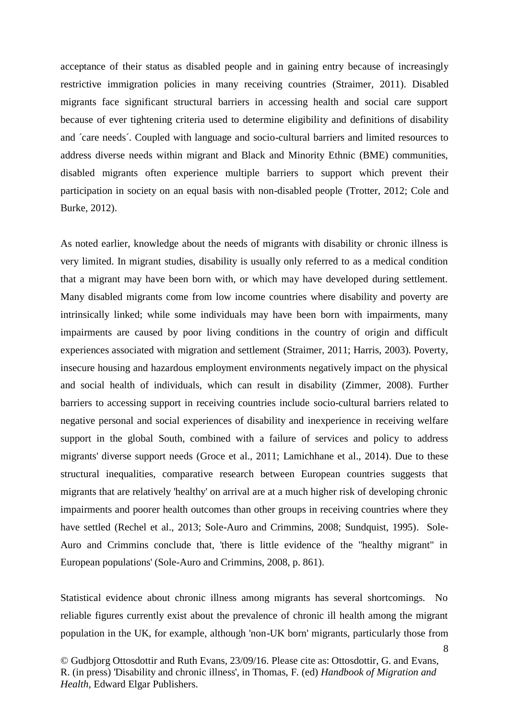acceptance of their status as disabled people and in gaining entry because of increasingly restrictive immigration policies in many receiving countries (Straimer, 2011). Disabled migrants face significant structural barriers in accessing health and social care support because of ever tightening criteria used to determine eligibility and definitions of disability and ´care needs´. Coupled with language and socio-cultural barriers and limited resources to address diverse needs within migrant and Black and Minority Ethnic (BME) communities, disabled migrants often experience multiple barriers to support which prevent their participation in society on an equal basis with non-disabled people (Trotter, 2012; Cole and Burke, 2012).

As noted earlier, knowledge about the needs of migrants with disability or chronic illness is very limited. In migrant studies, disability is usually only referred to as a medical condition that a migrant may have been born with, or which may have developed during settlement. Many disabled migrants come from low income countries where disability and poverty are intrinsically linked; while some individuals may have been born with impairments, many impairments are caused by poor living conditions in the country of origin and difficult experiences associated with migration and settlement (Straimer, 2011; Harris, 2003). Poverty, insecure housing and hazardous employment environments negatively impact on the physical and social health of individuals, which can result in disability (Zimmer, 2008). Further barriers to accessing support in receiving countries include socio-cultural barriers related to negative personal and social experiences of disability and inexperience in receiving welfare support in the global South, combined with a failure of services and policy to address migrants' diverse support needs (Groce et al., 2011; Lamichhane et al., 2014). Due to these structural inequalities, comparative research between European countries suggests that migrants that are relatively 'healthy' on arrival are at a much higher risk of developing chronic impairments and poorer health outcomes than other groups in receiving countries where they have settled (Rechel et al., 2013; Sole-Auro and Crimmins, 2008; Sundquist, 1995). Sole-Auro and Crimmins conclude that, 'there is little evidence of the "healthy migrant" in European populations' (Sole-Auro and Crimmins, 2008, p. 861).

Statistical evidence about chronic illness among migrants has several shortcomings. No reliable figures currently exist about the prevalence of chronic ill health among the migrant population in the UK, for example, although 'non-UK born' migrants, particularly those from

<sup>©</sup> Gudbjorg Ottosdottir and Ruth Evans, 23/09/16. Please cite as: Ottosdottir, G. and Evans, R. (in press) 'Disability and chronic illness', in Thomas, F. (ed) *Handbook of Migration and Health*, Edward Elgar Publishers.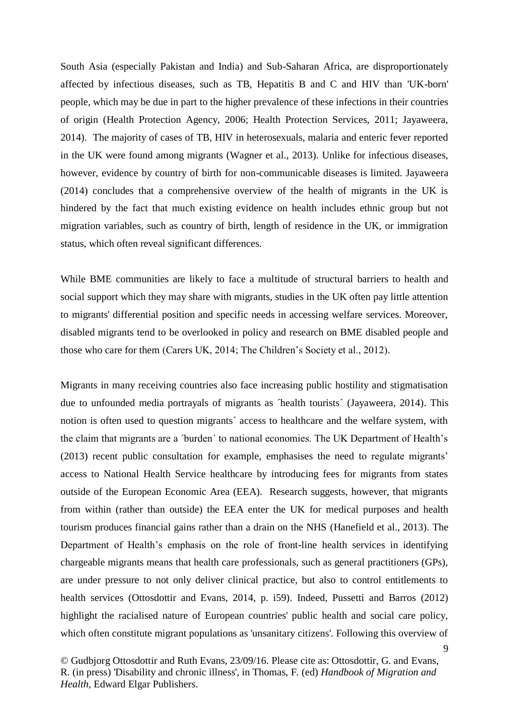South Asia (especially Pakistan and India) and Sub-Saharan Africa, are disproportionately affected by infectious diseases, such as TB, Hepatitis B and C and HIV than 'UK-born' people, which may be due in part to the higher prevalence of these infections in their countries of origin (Health Protection Agency, 2006; Health Protection Services, 2011; Jayaweera, 2014). The majority of cases of TB, HIV in heterosexuals, malaria and enteric fever reported in the UK were found among migrants (Wagner et al., 2013). Unlike for infectious diseases, however, evidence by country of birth for non-communicable diseases is limited. Jayaweera (2014) concludes that a comprehensive overview of the health of migrants in the UK is hindered by the fact that much existing evidence on health includes ethnic group but not migration variables, such as country of birth, length of residence in the UK, or immigration status, which often reveal significant differences.

While BME communities are likely to face a multitude of structural barriers to health and social support which they may share with migrants, studies in the UK often pay little attention to migrants' differential position and specific needs in accessing welfare services. Moreover, disabled migrants tend to be overlooked in policy and research on BME disabled people and those who care for them (Carers UK, 2014; The Children's Society et al., 2012).

Migrants in many receiving countries also face increasing public hostility and stigmatisation due to unfounded media portrayals of migrants as ´health tourists´ (Jayaweera, 2014). This notion is often used to question migrants´ access to healthcare and the welfare system, with the claim that migrants are a ´burden´ to national economies. The UK Department of Health's (2013) recent public consultation for example, emphasises the need to regulate migrants' access to National Health Service healthcare by introducing fees for migrants from states outside of the European Economic Area (EEA). Research suggests, however, that migrants from within (rather than outside) the EEA enter the UK for medical purposes and health tourism produces financial gains rather than a drain on the NHS (Hanefield et al., 2013). The Department of Health's emphasis on the role of front-line health services in identifying chargeable migrants means that health care professionals, such as general practitioners (GPs), are under pressure to not only deliver clinical practice, but also to control entitlements to health services (Ottosdottir and Evans, 2014, p. i59). Indeed, Pussetti and Barros (2012) highlight the racialised nature of European countries' public health and social care policy, which often constitute migrant populations as 'unsanitary citizens'. Following this overview of

<sup>©</sup> Gudbjorg Ottosdottir and Ruth Evans, 23/09/16. Please cite as: Ottosdottir, G. and Evans, R. (in press) 'Disability and chronic illness', in Thomas, F. (ed) *Handbook of Migration and Health*, Edward Elgar Publishers.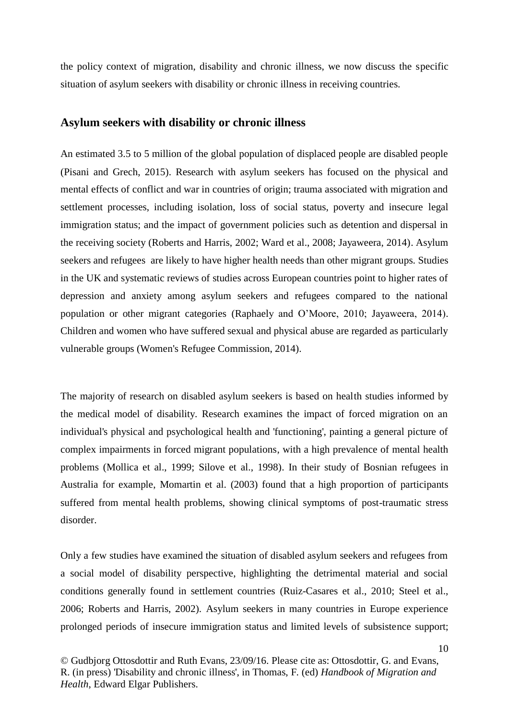the policy context of migration, disability and chronic illness, we now discuss the specific situation of asylum seekers with disability or chronic illness in receiving countries.

#### **Asylum seekers with disability or chronic illness**

An estimated 3.5 to 5 million of the global population of displaced people are disabled people (Pisani and Grech, 2015). Research with asylum seekers has focused on the physical and mental effects of conflict and war in countries of origin; trauma associated with migration and settlement processes, including isolation, loss of social status, poverty and insecure legal immigration status; and the impact of government policies such as detention and dispersal in the receiving society (Roberts and Harris, 2002; Ward et al., 2008; Jayaweera, 2014). Asylum seekers and refugees are likely to have higher health needs than other migrant groups. Studies in the UK and systematic reviews of studies across European countries point to higher rates of depression and anxiety among asylum seekers and refugees compared to the national population or other migrant categories (Raphaely and O'Moore, 2010; Jayaweera, 2014). Children and women who have suffered sexual and physical abuse are regarded as particularly vulnerable groups (Women's Refugee Commission, 2014).

The majority of research on disabled asylum seekers is based on health studies informed by the medical model of disability. Research examines the impact of forced migration on an individual's physical and psychological health and 'functioning', painting a general picture of complex impairments in forced migrant populations, with a high prevalence of mental health problems (Mollica et al., 1999; Silove et al., 1998). In their study of Bosnian refugees in Australia for example, Momartin et al. (2003) found that a high proportion of participants suffered from mental health problems, showing clinical symptoms of post-traumatic stress disorder.

Only a few studies have examined the situation of disabled asylum seekers and refugees from a social model of disability perspective, highlighting the detrimental material and social conditions generally found in settlement countries (Ruiz-Casares et al., 2010; Steel et al., 2006; Roberts and Harris, 2002). Asylum seekers in many countries in Europe experience prolonged periods of insecure immigration status and limited levels of subsistence support;

<sup>©</sup> Gudbjorg Ottosdottir and Ruth Evans, 23/09/16. Please cite as: Ottosdottir, G. and Evans, R. (in press) 'Disability and chronic illness', in Thomas, F. (ed) *Handbook of Migration and Health*, Edward Elgar Publishers.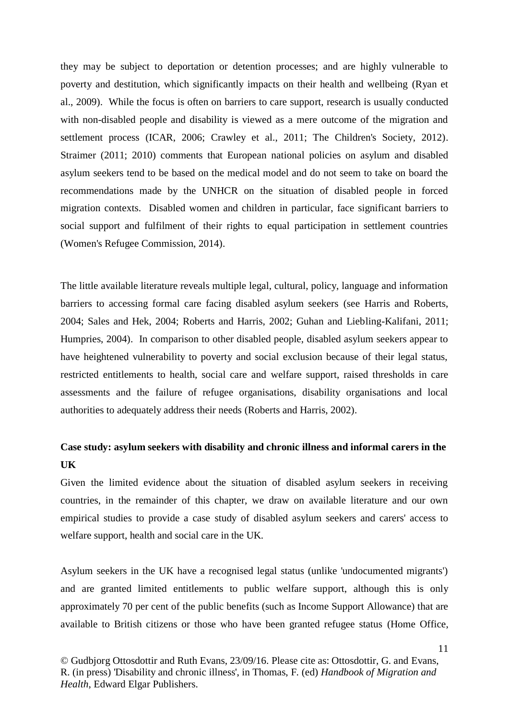they may be subject to deportation or detention processes; and are highly vulnerable to poverty and destitution, which significantly impacts on their health and wellbeing (Ryan et al., 2009). While the focus is often on barriers to care support, research is usually conducted with non-disabled people and disability is viewed as a mere outcome of the migration and settlement process (ICAR, 2006; Crawley et al., 2011; The Children's Society, 2012). Straimer (2011; 2010) comments that European national policies on asylum and disabled asylum seekers tend to be based on the medical model and do not seem to take on board the recommendations made by the UNHCR on the situation of disabled people in forced migration contexts. Disabled women and children in particular, face significant barriers to social support and fulfilment of their rights to equal participation in settlement countries (Women's Refugee Commission, 2014).

The little available literature reveals multiple legal, cultural, policy, language and information barriers to accessing formal care facing disabled asylum seekers (see Harris and Roberts, 2004; Sales and Hek, 2004; Roberts and Harris, 2002; Guhan and Liebling-Kalifani, 2011; Humpries, 2004). In comparison to other disabled people, disabled asylum seekers appear to have heightened vulnerability to poverty and social exclusion because of their legal status, restricted entitlements to health, social care and welfare support, raised thresholds in care assessments and the failure of refugee organisations, disability organisations and local authorities to adequately address their needs (Roberts and Harris, 2002).

## **Case study: asylum seekers with disability and chronic illness and informal carers in the UK**

Given the limited evidence about the situation of disabled asylum seekers in receiving countries, in the remainder of this chapter, we draw on available literature and our own empirical studies to provide a case study of disabled asylum seekers and carers' access to welfare support, health and social care in the UK.

Asylum seekers in the UK have a recognised legal status (unlike 'undocumented migrants') and are granted limited entitlements to public welfare support, although this is only approximately 70 per cent of the public benefits (such as Income Support Allowance) that are available to British citizens or those who have been granted refugee status (Home Office,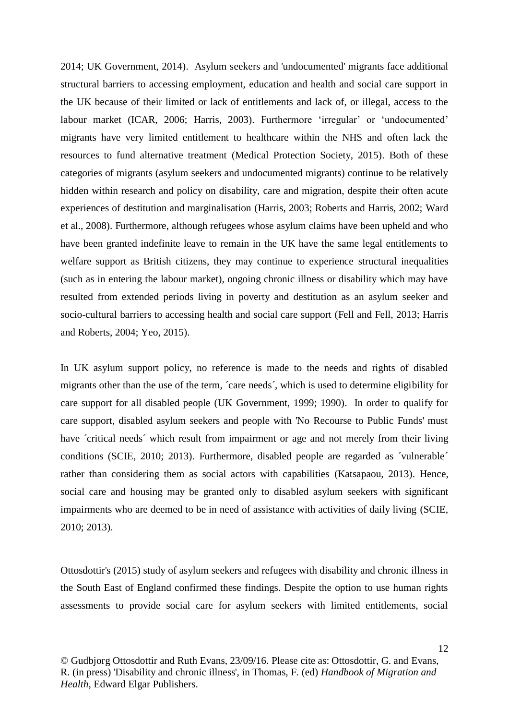2014; UK Government, 2014). Asylum seekers and 'undocumented' migrants face additional structural barriers to accessing employment, education and health and social care support in the UK because of their limited or lack of entitlements and lack of, or illegal, access to the labour market (ICAR, 2006; Harris, 2003). Furthermore 'irregular' or 'undocumented' migrants have very limited entitlement to healthcare within the NHS and often lack the resources to fund alternative treatment (Medical Protection Society, 2015). Both of these categories of migrants (asylum seekers and undocumented migrants) continue to be relatively hidden within research and policy on disability, care and migration, despite their often acute experiences of destitution and marginalisation (Harris, 2003; Roberts and Harris, 2002; Ward et al., 2008). Furthermore, although refugees whose asylum claims have been upheld and who have been granted indefinite leave to remain in the UK have the same legal entitlements to welfare support as British citizens, they may continue to experience structural inequalities (such as in entering the labour market), ongoing chronic illness or disability which may have resulted from extended periods living in poverty and destitution as an asylum seeker and socio-cultural barriers to accessing health and social care support (Fell and Fell, 2013; Harris and Roberts, 2004; Yeo, 2015).

In UK asylum support policy, no reference is made to the needs and rights of disabled migrants other than the use of the term, ´care needs´, which is used to determine eligibility for care support for all disabled people (UK Government, 1999; 1990). In order to qualify for care support, disabled asylum seekers and people with 'No Recourse to Public Funds' must have 'critical needs' which result from impairment or age and not merely from their living conditions (SCIE, 2010; 2013). Furthermore, disabled people are regarded as ´vulnerable´ rather than considering them as social actors with capabilities (Katsapaou, 2013). Hence, social care and housing may be granted only to disabled asylum seekers with significant impairments who are deemed to be in need of assistance with activities of daily living (SCIE, 2010; 2013).

Ottosdottir's (2015) study of asylum seekers and refugees with disability and chronic illness in the South East of England confirmed these findings. Despite the option to use human rights assessments to provide social care for asylum seekers with limited entitlements, social

<sup>©</sup> Gudbjorg Ottosdottir and Ruth Evans, 23/09/16. Please cite as: Ottosdottir, G. and Evans, R. (in press) 'Disability and chronic illness', in Thomas, F. (ed) *Handbook of Migration and Health*, Edward Elgar Publishers.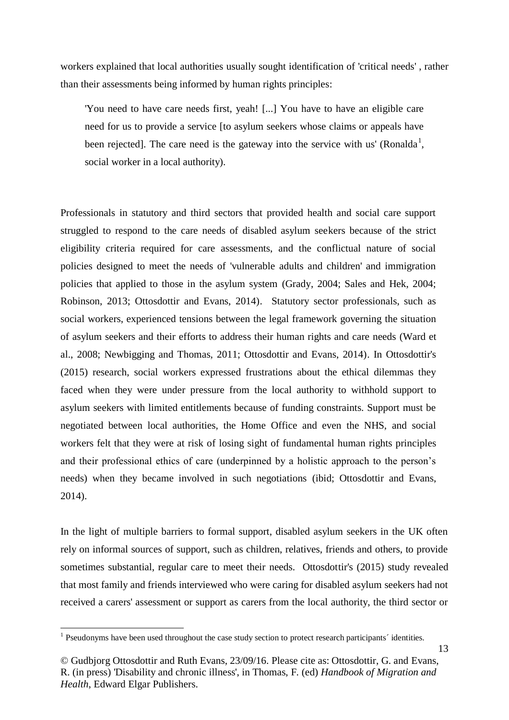workers explained that local authorities usually sought identification of 'critical needs' , rather than their assessments being informed by human rights principles:

'You need to have care needs first, yeah! [...] You have to have an eligible care need for us to provide a service [to asylum seekers whose claims or appeals have been rejected]. The care need is the gateway into the service with us' (Ronalda<sup>1</sup>, social worker in a local authority).

Professionals in statutory and third sectors that provided health and social care support struggled to respond to the care needs of disabled asylum seekers because of the strict eligibility criteria required for care assessments, and the conflictual nature of social policies designed to meet the needs of 'vulnerable adults and children' and immigration policies that applied to those in the asylum system (Grady, 2004; Sales and Hek, 2004; Robinson, 2013; Ottosdottir and Evans, 2014). Statutory sector professionals, such as social workers, experienced tensions between the legal framework governing the situation of asylum seekers and their efforts to address their human rights and care needs (Ward et al., 2008; Newbigging and Thomas, 2011; Ottosdottir and Evans, 2014). In Ottosdottir's (2015) research, social workers expressed frustrations about the ethical dilemmas they faced when they were under pressure from the local authority to withhold support to asylum seekers with limited entitlements because of funding constraints. Support must be negotiated between local authorities, the Home Office and even the NHS, and social workers felt that they were at risk of losing sight of fundamental human rights principles and their professional ethics of care (underpinned by a holistic approach to the person's needs) when they became involved in such negotiations (ibid; Ottosdottir and Evans, 2014).

In the light of multiple barriers to formal support, disabled asylum seekers in the UK often rely on informal sources of support, such as children, relatives, friends and others, to provide sometimes substantial, regular care to meet their needs. Ottosdottir's (2015) study revealed that most family and friends interviewed who were caring for disabled asylum seekers had not received a carers' assessment or support as carers from the local authority, the third sector or

 $\overline{a}$ 

<sup>&</sup>lt;sup>1</sup> Pseudonyms have been used throughout the case study section to protect research participants' identities.

<sup>©</sup> Gudbjorg Ottosdottir and Ruth Evans, 23/09/16. Please cite as: Ottosdottir, G. and Evans, R. (in press) 'Disability and chronic illness', in Thomas, F. (ed) *Handbook of Migration and Health*, Edward Elgar Publishers.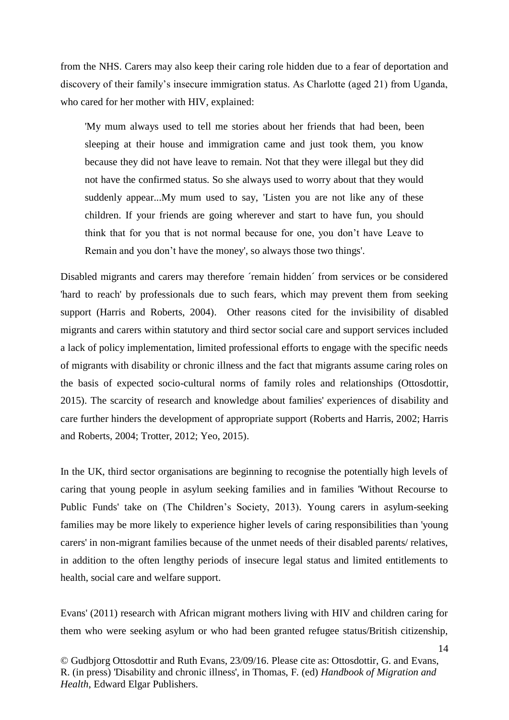from the NHS. Carers may also keep their caring role hidden due to a fear of deportation and discovery of their family's insecure immigration status. As Charlotte (aged 21) from Uganda, who cared for her mother with HIV, explained:

'My mum always used to tell me stories about her friends that had been, been sleeping at their house and immigration came and just took them, you know because they did not have leave to remain. Not that they were illegal but they did not have the confirmed status. So she always used to worry about that they would suddenly appear...My mum used to say, 'Listen you are not like any of these children. If your friends are going wherever and start to have fun, you should think that for you that is not normal because for one, you don't have Leave to Remain and you don't have the money', so always those two things'.

Disabled migrants and carers may therefore 'remain hidden' from services or be considered 'hard to reach' by professionals due to such fears, which may prevent them from seeking support (Harris and Roberts, 2004). Other reasons cited for the invisibility of disabled migrants and carers within statutory and third sector social care and support services included a lack of policy implementation, limited professional efforts to engage with the specific needs of migrants with disability or chronic illness and the fact that migrants assume caring roles on the basis of expected socio-cultural norms of family roles and relationships (Ottosdottir, 2015). The scarcity of research and knowledge about families' experiences of disability and care further hinders the development of appropriate support (Roberts and Harris, 2002; Harris and Roberts, 2004; Trotter, 2012; Yeo, 2015).

In the UK, third sector organisations are beginning to recognise the potentially high levels of caring that young people in asylum seeking families and in families 'Without Recourse to Public Funds' take on (The Children's Society, 2013). Young carers in asylum-seeking families may be more likely to experience higher levels of caring responsibilities than 'young carers' in non-migrant families because of the unmet needs of their disabled parents/ relatives, in addition to the often lengthy periods of insecure legal status and limited entitlements to health, social care and welfare support.

Evans' (2011) research with African migrant mothers living with HIV and children caring for them who were seeking asylum or who had been granted refugee status/British citizenship,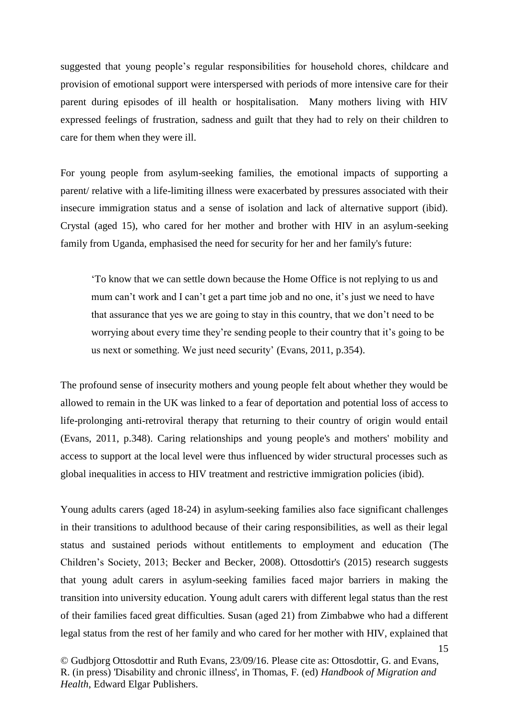suggested that young people's regular responsibilities for household chores, childcare and provision of emotional support were interspersed with periods of more intensive care for their parent during episodes of ill health or hospitalisation. Many mothers living with HIV expressed feelings of frustration, sadness and guilt that they had to rely on their children to care for them when they were ill.

For young people from asylum-seeking families, the emotional impacts of supporting a parent/ relative with a life-limiting illness were exacerbated by pressures associated with their insecure immigration status and a sense of isolation and lack of alternative support (ibid). Crystal (aged 15), who cared for her mother and brother with HIV in an asylum-seeking family from Uganda, emphasised the need for security for her and her family's future:

'To know that we can settle down because the Home Office is not replying to us and mum can't work and I can't get a part time job and no one, it's just we need to have that assurance that yes we are going to stay in this country, that we don't need to be worrying about every time they're sending people to their country that it's going to be us next or something. We just need security' (Evans, 2011, p.354).

The profound sense of insecurity mothers and young people felt about whether they would be allowed to remain in the UK was linked to a fear of deportation and potential loss of access to life-prolonging anti-retroviral therapy that returning to their country of origin would entail (Evans, 2011, p.348). Caring relationships and young people's and mothers' mobility and access to support at the local level were thus influenced by wider structural processes such as global inequalities in access to HIV treatment and restrictive immigration policies (ibid).

Young adults carers (aged 18-24) in asylum-seeking families also face significant challenges in their transitions to adulthood because of their caring responsibilities, as well as their legal status and sustained periods without entitlements to employment and education (The Children's Society, 2013; Becker and Becker, 2008). Ottosdottir's (2015) research suggests that young adult carers in asylum-seeking families faced major barriers in making the transition into university education. Young adult carers with different legal status than the rest of their families faced great difficulties. Susan (aged 21) from Zimbabwe who had a different legal status from the rest of her family and who cared for her mother with HIV, explained that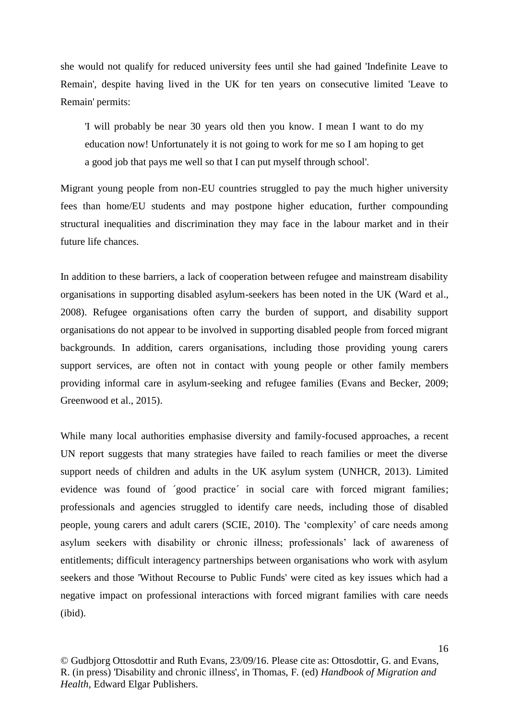she would not qualify for reduced university fees until she had gained 'Indefinite Leave to Remain', despite having lived in the UK for ten years on consecutive limited 'Leave to Remain' permits:

'I will probably be near 30 years old then you know. I mean I want to do my education now! Unfortunately it is not going to work for me so I am hoping to get a good job that pays me well so that I can put myself through school'.

Migrant young people from non-EU countries struggled to pay the much higher university fees than home/EU students and may postpone higher education, further compounding structural inequalities and discrimination they may face in the labour market and in their future life chances.

In addition to these barriers, a lack of cooperation between refugee and mainstream disability organisations in supporting disabled asylum-seekers has been noted in the UK (Ward et al., 2008). Refugee organisations often carry the burden of support, and disability support organisations do not appear to be involved in supporting disabled people from forced migrant backgrounds. In addition, carers organisations, including those providing young carers support services, are often not in contact with young people or other family members providing informal care in asylum-seeking and refugee families (Evans and Becker, 2009; Greenwood et al., 2015).

While many local authorities emphasise diversity and family-focused approaches, a recent UN report suggests that many strategies have failed to reach families or meet the diverse support needs of children and adults in the UK asylum system (UNHCR, 2013). Limited evidence was found of ´good practice´ in social care with forced migrant families; professionals and agencies struggled to identify care needs, including those of disabled people, young carers and adult carers (SCIE, 2010). The 'complexity' of care needs among asylum seekers with disability or chronic illness; professionals' lack of awareness of entitlements; difficult interagency partnerships between organisations who work with asylum seekers and those 'Without Recourse to Public Funds' were cited as key issues which had a negative impact on professional interactions with forced migrant families with care needs (ibid).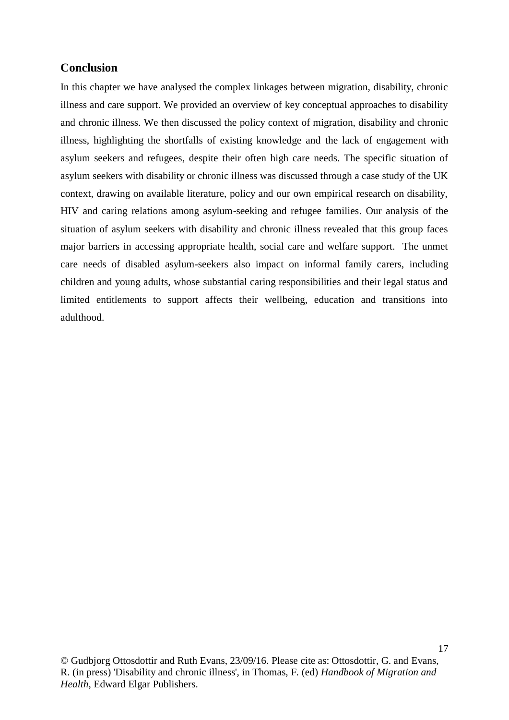#### **Conclusion**

In this chapter we have analysed the complex linkages between migration, disability, chronic illness and care support. We provided an overview of key conceptual approaches to disability and chronic illness. We then discussed the policy context of migration, disability and chronic illness, highlighting the shortfalls of existing knowledge and the lack of engagement with asylum seekers and refugees, despite their often high care needs. The specific situation of asylum seekers with disability or chronic illness was discussed through a case study of the UK context, drawing on available literature, policy and our own empirical research on disability, HIV and caring relations among asylum-seeking and refugee families. Our analysis of the situation of asylum seekers with disability and chronic illness revealed that this group faces major barriers in accessing appropriate health, social care and welfare support. The unmet care needs of disabled asylum-seekers also impact on informal family carers, including children and young adults, whose substantial caring responsibilities and their legal status and limited entitlements to support affects their wellbeing, education and transitions into adulthood.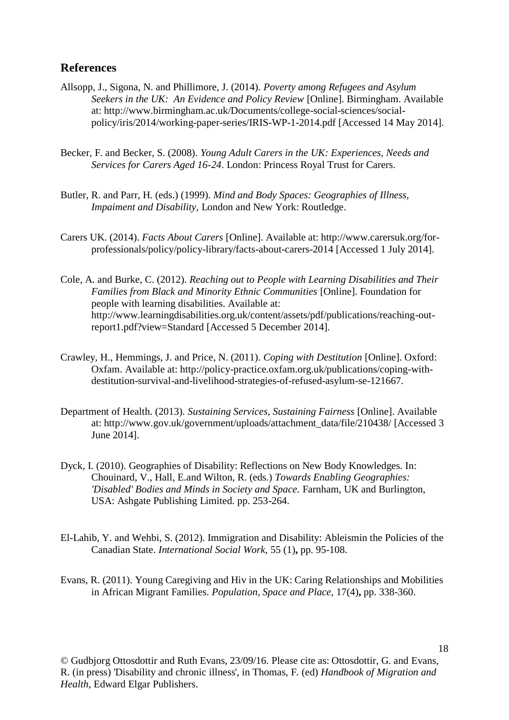#### **References**

- Allsopp, J., Sigona, N. and Phillimore, J. (2014). *Poverty among Refugees and Asylum Seekers in the UK: An Evidence and Policy Review* [Online]. Birmingham. Available at: http://www.birmingham.ac.uk/Documents/college-social-sciences/socialpolicy/iris/2014/working-paper-series/IRIS-WP-1-2014.pdf [Accessed 14 May 2014].
- Becker, F. and Becker, S. (2008). *Young Adult Carers in the UK: Experiences, Needs and Services for Carers Aged 16-24*. London: Princess Royal Trust for Carers.
- Butler, R. and Parr, H. (eds.) (1999). *Mind and Body Spaces: Geographies of Illness, Impaiment and Disability,* London and New York: Routledge.
- Carers UK. (2014). *Facts About Carers* [Online]. Available at: http://www.carersuk.org/forprofessionals/policy/policy-library/facts-about-carers-2014 [Accessed 1 July 2014].
- Cole, A. and Burke, C. (2012). *Reaching out to People with Learning Disabilities and Their Families from Black and Minority Ethnic Communities* [Online]. Foundation for people with learning disabilities. Available at: http://www.learningdisabilities.org.uk/content/assets/pdf/publications/reaching-outreport1.pdf?view=Standard [Accessed 5 December 2014].
- Crawley, H., Hemmings, J. and Price, N. (2011). *Coping with Destitution* [Online]. Oxford: Oxfam. Available at: http://policy-practice.oxfam.org.uk/publications/coping-withdestitution-survival-and-livelihood-strategies-of-refused-asylum-se-121667.
- Department of Health. (2013). *Sustaining Services, Sustaining Fairness* [Online]. Available at: http://www.gov.uk/government/uploads/attachment\_data/file/210438/ [Accessed 3 June 2014].
- Dyck, I. (2010). Geographies of Disability: Reflections on New Body Knowledges. In: Chouinard, V., Hall, E.and Wilton, R. (eds.) *Towards Enabling Geographies: 'Disabled' Bodies and Minds in Society and Space.* Farnham, UK and Burlington, USA: Ashgate Publishing Limited. pp. 253-264.
- El-Lahib, Y. and Wehbi, S. (2012). Immigration and Disability: Ableismin the Policies of the Canadian State. *International Social Work,* 55 (1)**,** pp. 95-108.
- Evans, R. (2011). Young Caregiving and Hiv in the UK: Caring Relationships and Mobilities in African Migrant Families. *Population, Space and Place,* 17(4)**,** pp. 338-360.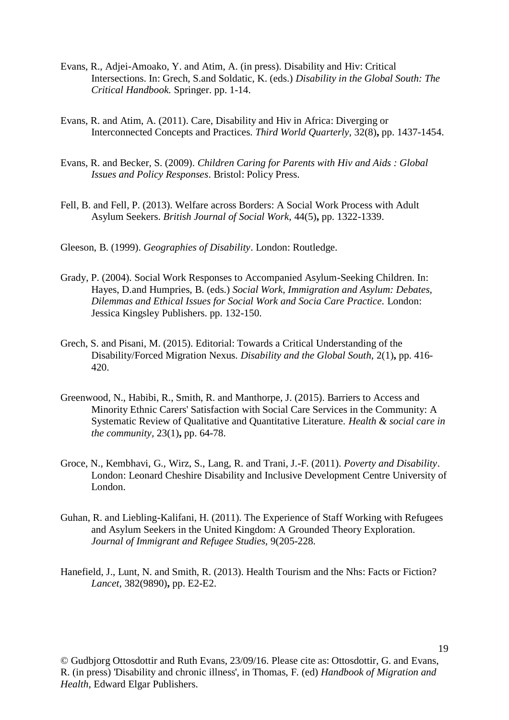- Evans, R., Adjei-Amoako, Y. and Atim, A. (in press). Disability and Hiv: Critical Intersections. In: Grech, S.and Soldatic, K. (eds.) *Disability in the Global South: The Critical Handbook.* Springer. pp. 1-14.
- Evans, R. and Atim, A. (2011). Care, Disability and Hiv in Africa: Diverging or Interconnected Concepts and Practices. *Third World Quarterly,* 32(8)**,** pp. 1437-1454.
- Evans, R. and Becker, S. (2009). *Children Caring for Parents with Hiv and Aids : Global Issues and Policy Responses*. Bristol: Policy Press.
- Fell, B. and Fell, P. (2013). Welfare across Borders: A Social Work Process with Adult Asylum Seekers. *British Journal of Social Work,* 44(5)**,** pp. 1322-1339.
- Gleeson, B. (1999). *Geographies of Disability*. London: Routledge.
- Grady, P. (2004). Social Work Responses to Accompanied Asylum-Seeking Children. In: Hayes, D.and Humpries, B. (eds.) *Social Work, Immigration and Asylum: Debates, Dilemmas and Ethical Issues for Social Work and Socia Care Practice.* London: Jessica Kingsley Publishers. pp. 132-150.
- Grech, S. and Pisani, M. (2015). Editorial: Towards a Critical Understanding of the Disability/Forced Migration Nexus. *Disability and the Global South,* 2(1)**,** pp. 416- 420.
- Greenwood, N., Habibi, R., Smith, R. and Manthorpe, J. (2015). Barriers to Access and Minority Ethnic Carers' Satisfaction with Social Care Services in the Community: A Systematic Review of Qualitative and Quantitative Literature. *Health & social care in the community,* 23(1)**,** pp. 64-78.
- Groce, N., Kembhavi, G., Wirz, S., Lang, R. and Trani, J.-F. (2011). *Poverty and Disability*. London: Leonard Cheshire Disability and Inclusive Development Centre University of London.
- Guhan, R. and Liebling-Kalifani, H. (2011). The Experience of Staff Working with Refugees and Asylum Seekers in the United Kingdom: A Grounded Theory Exploration. *Journal of Immigrant and Refugee Studies,* 9(205-228.
- Hanefield, J., Lunt, N. and Smith, R. (2013). Health Tourism and the Nhs: Facts or Fiction? *Lancet,* 382(9890)**,** pp. E2-E2.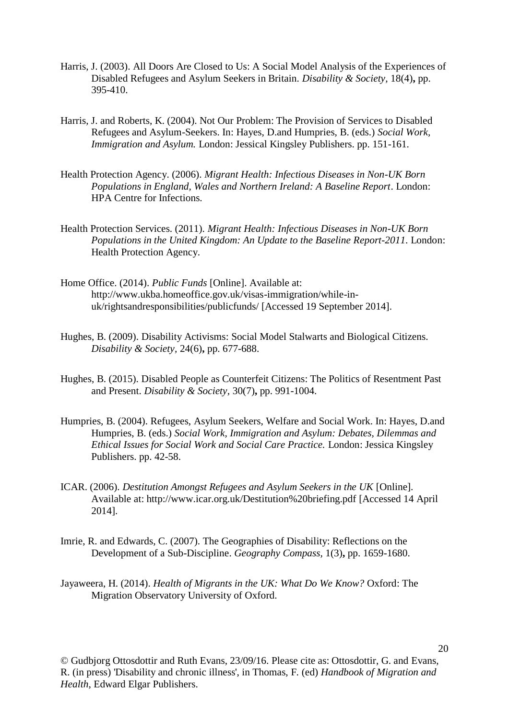- Harris, J. (2003). All Doors Are Closed to Us: A Social Model Analysis of the Experiences of Disabled Refugees and Asylum Seekers in Britain. *Disability & Society,* 18(4)**,** pp. 395-410.
- Harris, J. and Roberts, K. (2004). Not Our Problem: The Provision of Services to Disabled Refugees and Asylum-Seekers. In: Hayes, D.and Humpries, B. (eds.) *Social Work, Immigration and Asylum.* London: Jessical Kingsley Publishers. pp. 151-161.
- Health Protection Agency. (2006). *Migrant Health: Infectious Diseases in Non-UK Born Populations in England, Wales and Northern Ireland: A Baseline Report*. London: HPA Centre for Infections.
- Health Protection Services. (2011). *Migrant Health: Infectious Diseases in Non-UK Born Populations in the United Kingdom: An Update to the Baseline Report-2011*. London: Health Protection Agency.
- Home Office. (2014). *Public Funds* [Online]. Available at: http://www.ukba.homeoffice.gov.uk/visas-immigration/while-inuk/rightsandresponsibilities/publicfunds/ [Accessed 19 September 2014].
- Hughes, B. (2009). Disability Activisms: Social Model Stalwarts and Biological Citizens. *Disability & Society,* 24(6)**,** pp. 677-688.
- Hughes, B. (2015). Disabled People as Counterfeit Citizens: The Politics of Resentment Past and Present. *Disability & Society,* 30(7)**,** pp. 991-1004.
- Humpries, B. (2004). Refugees, Asylum Seekers, Welfare and Social Work. In: Hayes, D.and Humpries, B. (eds.) *Social Work, Immigration and Asylum: Debates, Dilemmas and Ethical Issues for Social Work and Social Care Practice.* London: Jessica Kingsley Publishers. pp. 42-58.
- ICAR. (2006). *Destitution Amongst Refugees and Asylum Seekers in the UK* [Online]. Available at: http://www.icar.org.uk/Destitution%20briefing.pdf [Accessed 14 April 2014].
- Imrie, R. and Edwards, C. (2007). The Geographies of Disability: Reflections on the Development of a Sub-Discipline. *Geography Compass,* 1(3)**,** pp. 1659-1680.
- Jayaweera, H. (2014). *Health of Migrants in the UK: What Do We Know?* Oxford: The Migration Observatory University of Oxford.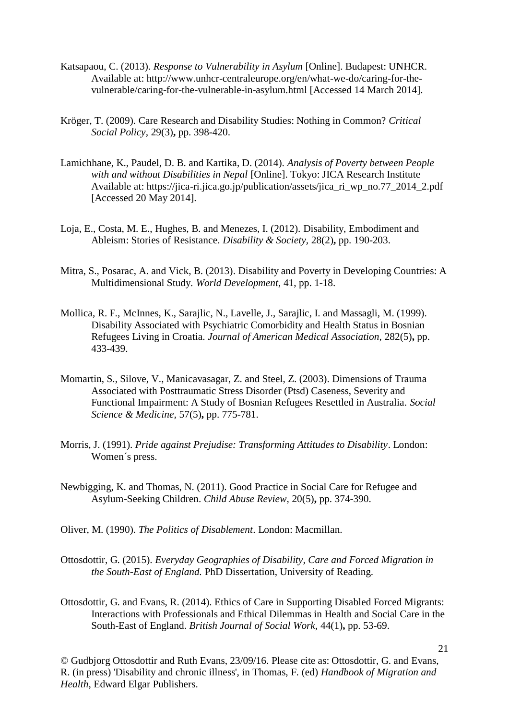- Katsapaou, C. (2013). *Response to Vulnerability in Asylum* [Online]. Budapest: UNHCR. Available at: http://www.unhcr-centraleurope.org/en/what-we-do/caring-for-thevulnerable/caring-for-the-vulnerable-in-asylum.html [Accessed 14 March 2014].
- Kröger, T. (2009). Care Research and Disability Studies: Nothing in Common? *Critical Social Policy,* 29(3)**,** pp. 398-420.
- Lamichhane, K., Paudel, D. B. and Kartika, D. (2014). *Analysis of Poverty between People with and without Disabilities in Nepal* [Online]. Tokyo: JICA Research Institute Available at: https://jica-ri.jica.go.jp/publication/assets/jica\_ri\_wp\_no.77\_2014\_2.pdf [Accessed 20 May 2014].
- Loja, E., Costa, M. E., Hughes, B. and Menezes, I. (2012). Disability, Embodiment and Ableism: Stories of Resistance. *Disability & Society,* 28(2)**,** pp. 190-203.
- Mitra, S., Posarac, A. and Vick, B. (2013). Disability and Poverty in Developing Countries: A Multidimensional Study. *World Development,* 41, pp. 1-18.
- Mollica, R. F., McInnes, K., Sarajlic, N., Lavelle, J., Sarajlic, I. and Massagli, M. (1999). Disability Associated with Psychiatric Comorbidity and Health Status in Bosnian Refugees Living in Croatia. *Journal of American Medical Association,* 282(5)**,** pp. 433-439.
- Momartin, S., Silove, V., Manicavasagar, Z. and Steel, Z. (2003). Dimensions of Trauma Associated with Posttraumatic Stress Disorder (Ptsd) Caseness, Severity and Functional Impairment: A Study of Bosnian Refugees Resettled in Australia. *Social Science & Medicine,* 57(5)**,** pp. 775-781.
- Morris, J. (1991). *Pride against Prejudise: Transforming Attitudes to Disability*. London: Women´s press.
- Newbigging, K. and Thomas, N. (2011). Good Practice in Social Care for Refugee and Asylum-Seeking Children. *Child Abuse Review,* 20(5)**,** pp. 374-390.
- Oliver, M. (1990). *The Politics of Disablement*. London: Macmillan.
- Ottosdottir, G. (2015). *Everyday Geographies of Disability, Care and Forced Migration in the South-East of England.* PhD Dissertation, University of Reading.
- Ottosdottir, G. and Evans, R. (2014). Ethics of Care in Supporting Disabled Forced Migrants: Interactions with Professionals and Ethical Dilemmas in Health and Social Care in the South-East of England. *British Journal of Social Work,* 44(1)**,** pp. 53-69.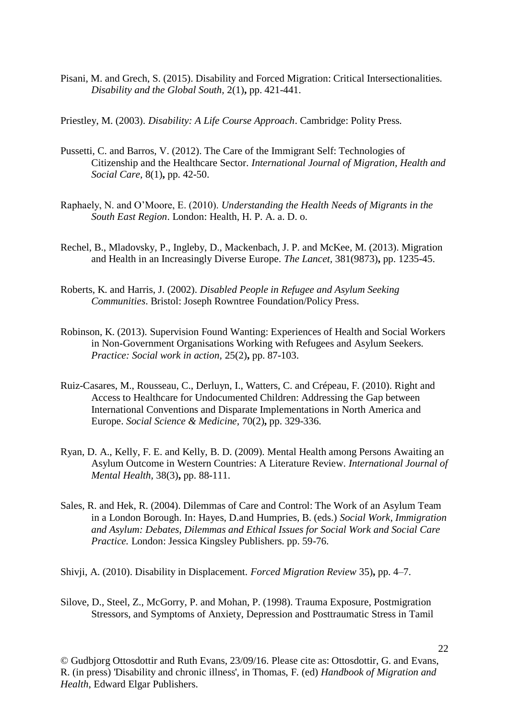Pisani, M. and Grech, S. (2015). Disability and Forced Migration: Critical Intersectionalities. *Disability and the Global South,* 2(1)**,** pp. 421-441.

Priestley, M. (2003). *Disability: A Life Course Approach*. Cambridge: Polity Press.

- Pussetti, C. and Barros, V. (2012). The Care of the Immigrant Self: Technologies of Citizenship and the Healthcare Sector. *International Journal of Migration, Health and Social Care,* 8(1)**,** pp. 42-50.
- Raphaely, N. and O'Moore, E. (2010). *Understanding the Health Needs of Migrants in the South East Region*. London: Health, H. P. A. a. D. o.
- Rechel, B., Mladovsky, P., Ingleby, D., Mackenbach, J. P. and McKee, M. (2013). Migration and Health in an Increasingly Diverse Europe. *The Lancet,* 381(9873)**,** pp. 1235-45.
- Roberts, K. and Harris, J. (2002). *Disabled People in Refugee and Asylum Seeking Communities*. Bristol: Joseph Rowntree Foundation/Policy Press.
- Robinson, K. (2013). Supervision Found Wanting: Experiences of Health and Social Workers in Non-Government Organisations Working with Refugees and Asylum Seekers. *Practice: Social work in action,* 25(2)**,** pp. 87-103.
- Ruiz-Casares, M., Rousseau, C., Derluyn, I., Watters, C. and Crépeau, F. (2010). Right and Access to Healthcare for Undocumented Children: Addressing the Gap between International Conventions and Disparate Implementations in North America and Europe. *Social Science & Medicine,* 70(2)**,** pp. 329-336.
- Ryan, D. A., Kelly, F. E. and Kelly, B. D. (2009). Mental Health among Persons Awaiting an Asylum Outcome in Western Countries: A Literature Review. *International Journal of Mental Health,* 38(3)**,** pp. 88-111.
- Sales, R. and Hek, R. (2004). Dilemmas of Care and Control: The Work of an Asylum Team in a London Borough. In: Hayes, D.and Humpries, B. (eds.) *Social Work, Immigration and Asylum: Debates, Dilemmas and Ethical Issues for Social Work and Social Care Practice.* London: Jessica Kingsley Publishers. pp. 59-76.

Shivji, A. (2010). Disability in Displacement. *Forced Migration Review* 35)**,** pp. 4–7.

Silove, D., Steel, Z., McGorry, P. and Mohan, P. (1998). Trauma Exposure, Postmigration Stressors, and Symptoms of Anxiety, Depression and Posttraumatic Stress in Tamil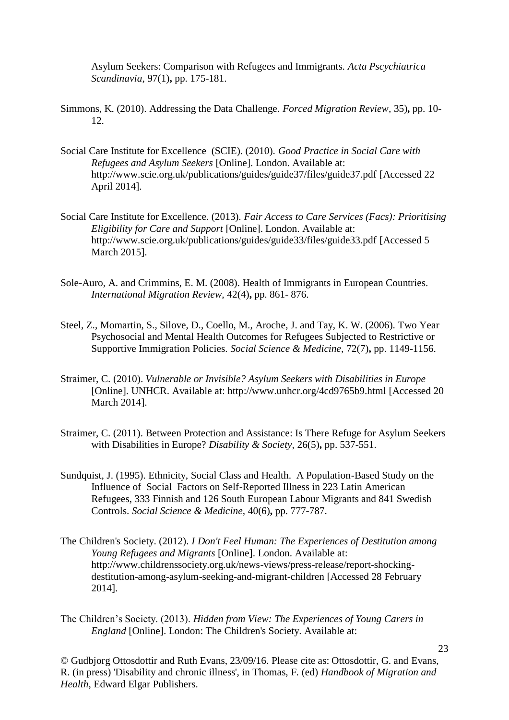Asylum Seekers: Comparison with Refugees and Immigrants. *Acta Pscychiatrica Scandinavia,* 97(1)**,** pp. 175-181.

- Simmons, K. (2010). Addressing the Data Challenge. *Forced Migration Review,* 35)**,** pp. 10- 12.
- Social Care Institute for Excellence (SCIE). (2010). *Good Practice in Social Care with Refugees and Asylum Seekers* [Online]. London. Available at: http://www.scie.org.uk/publications/guides/guide37/files/guide37.pdf [Accessed 22 April 2014].
- Social Care Institute for Excellence. (2013). *Fair Access to Care Services (Facs): Prioritising Eligibility for Care and Support* [Online]. London. Available at: http://www.scie.org.uk/publications/guides/guide33/files/guide33.pdf [Accessed 5 March 2015].
- Sole-Auro, A. and Crimmins, E. M. (2008). Health of Immigrants in European Countries. *International Migration Review,* 42(4)**,** pp. 861- 876.
- Steel, Z., Momartin, S., Silove, D., Coello, M., Aroche, J. and Tay, K. W. (2006). Two Year Psychosocial and Mental Health Outcomes for Refugees Subjected to Restrictive or Supportive Immigration Policies. *Social Science & Medicine,* 72(7)**,** pp. 1149-1156.
- Straimer, C. (2010). *Vulnerable or Invisible? Asylum Seekers with Disabilities in Europe*  [Online]. UNHCR. Available at: http://www.unhcr.org/4cd9765b9.html [Accessed 20 March 2014].
- Straimer, C. (2011). Between Protection and Assistance: Is There Refuge for Asylum Seekers with Disabilities in Europe? *Disability & Society,* 26(5)**,** pp. 537-551.
- Sundquist, J. (1995). Ethnicity, Social Class and Health. A Population-Based Study on the Influence of Social Factors on Self-Reported Illness in 223 Latin American Refugees, 333 Finnish and 126 South European Labour Migrants and 841 Swedish Controls. *Social Science & Medicine,* 40(6)**,** pp. 777-787.
- The Children's Society. (2012). *I Don't Feel Human: The Experiences of Destitution among Young Refugees and Migrants* [Online]. London. Available at: http://www.childrenssociety.org.uk/news-views/press-release/report-shockingdestitution-among-asylum-seeking-and-migrant-children [Accessed 28 February 2014].
- The Children's Society. (2013). *Hidden from View: The Experiences of Young Carers in England* [Online]. London: The Children's Society. Available at: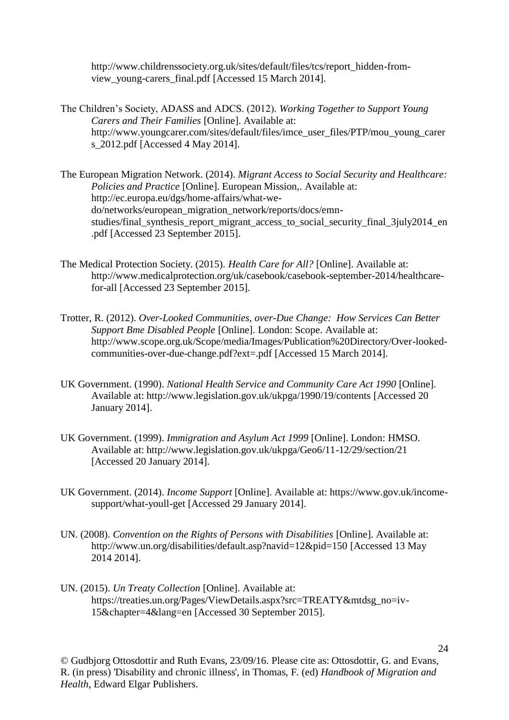http://www.childrenssociety.org.uk/sites/default/files/tcs/report\_hidden-fromview\_young-carers\_final.pdf [Accessed 15 March 2014].

- The Children's Society, ADASS and ADCS. (2012). *Working Together to Support Young Carers and Their Families* [Online]. Available at: http://www.youngcarer.com/sites/default/files/imce\_user\_files/PTP/mou\_young\_carer s\_2012.pdf [Accessed 4 May 2014].
- The European Migration Network. (2014). *Migrant Access to Social Security and Healthcare: Policies and Practice* [Online]. European Mission,. Available at: http://ec.europa.eu/dgs/home-affairs/what-wedo/networks/european\_migration\_network/reports/docs/emnstudies/final\_synthesis\_report\_migrant\_access\_to\_social\_security\_final\_3july2014\_en .pdf [Accessed 23 September 2015].
- The Medical Protection Society. (2015). *Health Care for All?* [Online]. Available at: http://www.medicalprotection.org/uk/casebook/casebook-september-2014/healthcarefor-all [Accessed 23 September 2015].
- Trotter, R. (2012). *Over-Looked Communities, over-Due Change: How Services Can Better Support Bme Disabled People* [Online]. London: Scope. Available at: http://www.scope.org.uk/Scope/media/Images/Publication%20Directory/Over-lookedcommunities-over-due-change.pdf?ext=.pdf [Accessed 15 March 2014].
- UK Government. (1990). *National Health Service and Community Care Act 1990* [Online]. Available at: http://www.legislation.gov.uk/ukpga/1990/19/contents [Accessed 20 January 2014].
- UK Government. (1999). *Immigration and Asylum Act 1999* [Online]. London: HMSO. Available at: http://www.legislation.gov.uk/ukpga/Geo6/11-12/29/section/21 [Accessed 20 January 2014].
- UK Government. (2014). *Income Support* [Online]. Available at: https://www.gov.uk/incomesupport/what-youll-get [Accessed 29 January 2014].
- UN. (2008). *Convention on the Rights of Persons with Disabilities* [Online]. Available at: http://www.un.org/disabilities/default.asp?navid=12&pid=150 [Accessed 13 May 2014 2014].
- UN. (2015). *Un Treaty Collection* [Online]. Available at: https://treaties.un.org/Pages/ViewDetails.aspx?src=TREATY&mtdsg\_no=iv-15&chapter=4&lang=en [Accessed 30 September 2015].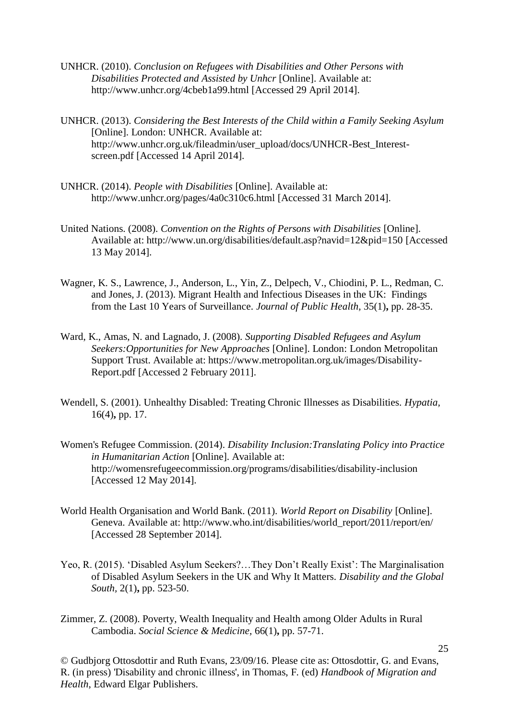- UNHCR. (2010). *Conclusion on Refugees with Disabilities and Other Persons with Disabilities Protected and Assisted by Unhcr* [Online]. Available at: http://www.unhcr.org/4cbeb1a99.html [Accessed 29 April 2014].
- UNHCR. (2013). *Considering the Best Interests of the Child within a Family Seeking Asylum*  [Online]. London: UNHCR. Available at: http://www.unhcr.org.uk/fileadmin/user\_upload/docs/UNHCR-Best\_Interestscreen.pdf [Accessed 14 April 2014].
- UNHCR. (2014). *People with Disabilities* [Online]. Available at: http://www.unhcr.org/pages/4a0c310c6.html [Accessed 31 March 2014].
- United Nations. (2008). *Convention on the Rights of Persons with Disabilities* [Online]. Available at: http://www.un.org/disabilities/default.asp?navid=12&pid=150 [Accessed 13 May 2014].
- Wagner, K. S., Lawrence, J., Anderson, L., Yin, Z., Delpech, V., Chiodini, P. L., Redman, C. and Jones, J. (2013). Migrant Health and Infectious Diseases in the UK: Findings from the Last 10 Years of Surveillance. *Journal of Public Health,* 35(1)**,** pp. 28-35.
- Ward, K., Amas, N. and Lagnado, J. (2008). *Supporting Disabled Refugees and Asylum Seekers:Opportunities for New Approaches* [Online]. London: London Metropolitan Support Trust. Available at: https://www.metropolitan.org.uk/images/Disability-Report.pdf [Accessed 2 February 2011].
- Wendell, S. (2001). Unhealthy Disabled: Treating Chronic Illnesses as Disabilities. *Hypatia,* 16(4)**,** pp. 17.
- Women's Refugee Commission. (2014). *Disability Inclusion:Translating Policy into Practice in Humanitarian Action* [Online]. Available at: http://womensrefugeecommission.org/programs/disabilities/disability-inclusion [Accessed 12 May 2014].
- World Health Organisation and World Bank. (2011). *World Report on Disability* [Online]. Geneva. Available at: http://www.who.int/disabilities/world\_report/2011/report/en/ [Accessed 28 September 2014].
- Yeo, R. (2015). 'Disabled Asylum Seekers?…They Don't Really Exist': The Marginalisation of Disabled Asylum Seekers in the UK and Why It Matters. *Disability and the Global South,* 2(1)**,** pp. 523-50.
- Zimmer, Z. (2008). Poverty, Wealth Inequality and Health among Older Adults in Rural Cambodia. *Social Science & Medicine,* 66(1)**,** pp. 57-71.